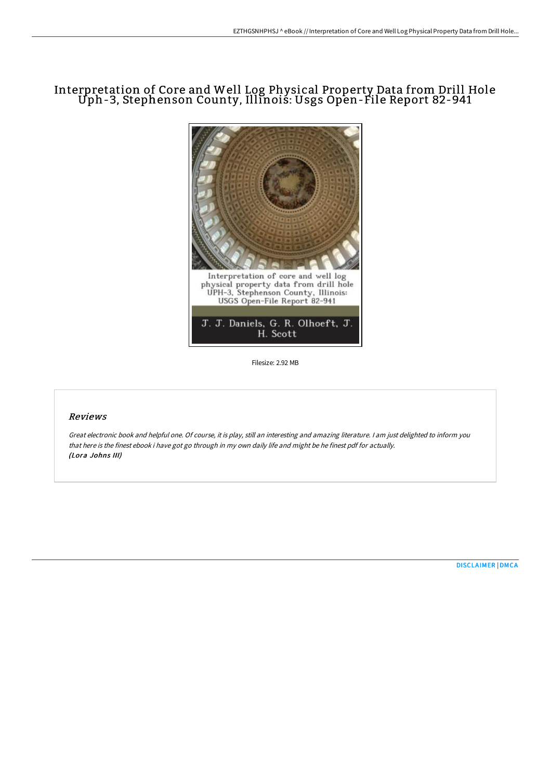## Interpretation of Core and Well Log Physical Property Data from Drill Hole Uph-3, Stephenson County, Illinois: Usgs Open-File Report 82-941



Filesize: 2.92 MB

## Reviews

Great electronic book and helpful one. Of course, it is play, still an interesting and amazing literature. <sup>I</sup> am just delighted to inform you that here is the finest ebook i have got go through in my own daily life and might be he finest pdf for actually. (Lora Johns III)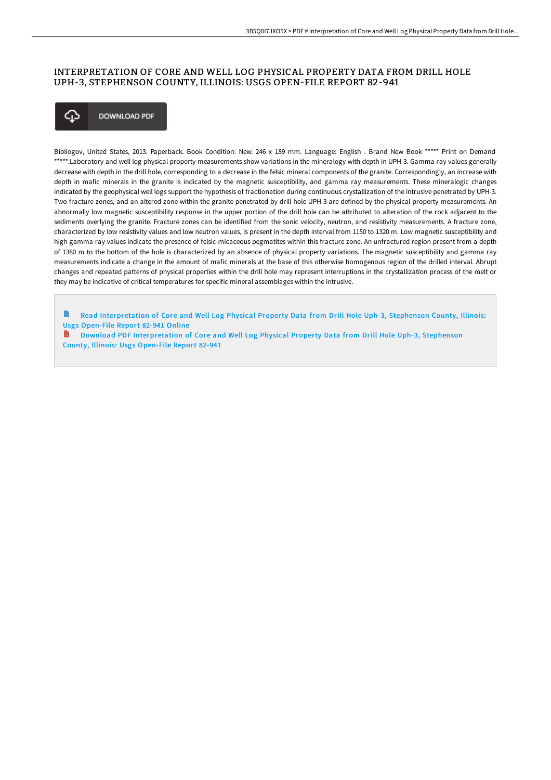## INTERPRETATION OF CORE AND WELL LOG PHYSICAL PROPERTY DATA FROM DRILL HOLE UPH-3, STEPHENSON COUNTY, ILLINOIS: USGS OPEN-FILE REPORT 82-941



Bibliogov, United States, 2013. Paperback. Book Condition: New. 246 x 189 mm. Language: English . Brand New Book \*\*\*\*\* Print on Demand \*\*\*\*\*.Laboratory and well log physical property measurements show variations in the mineralogy with depth in UPH-3. Gamma ray values generally decrease with depth in the drill hole, corresponding to a decrease in the felsic mineral components of the granite. Correspondingly, an increase with depth in mafic minerals in the granite is indicated by the magnetic susceptibility, and gamma ray measurements. These mineralogic changes indicated by the geophysical well logs support the hypothesis of fractionation during continuous crystallization of the intrusive penetrated by UPH-3. Two fracture zones, and an altered zone within the granite penetrated by drill hole UPH-3 are defined by the physical property measurements. An abnormally low magnetic susceptibility response in the upper portion of the drill hole can be attributed to alteration of the rock adjacent to the sediments overlying the granite. Fracture zones can be identified from the sonic velocity, neutron, and resistivity measurements. A fracture zone, characterized by low resistivity values and low neutron values, is present in the depth interval from 1150 to 1320 m. Low magnetic susceptibility and high gamma ray values indicate the presence of felsic-micaceous pegmatites within this fracture zone. An unfractured region present from a depth of 1380 m to the bottom of the hole is characterized by an absence of physical property variations. The magnetic susceptibility and gamma ray measurements indicate a change in the amount of mafic minerals at the base of this otherwise homogenous region of the drilled interval. Abrupt changes and repeated patterns of physical properties within the drill hole may represent interruptions in the crystallization process of the melt or they may be indicative of critical temperatures for specific mineral assemblages within the intrusive.

Read [Interpretation](http://techno-pub.tech/interpretation-of-core-and-well-log-physical-pro.html) of Core and Well Log Physical Property Data from Drill Hole Uph-3, Stephenson County, Illinois: Usgs Open-File Report 82-941 Online

**D** Download PDF [Interpretation](http://techno-pub.tech/interpretation-of-core-and-well-log-physical-pro.html) of Core and Well Log Physical Property Data from Drill Hole Uph-3, Stephenson County, Illinois: Usgs Open-File Report 82-941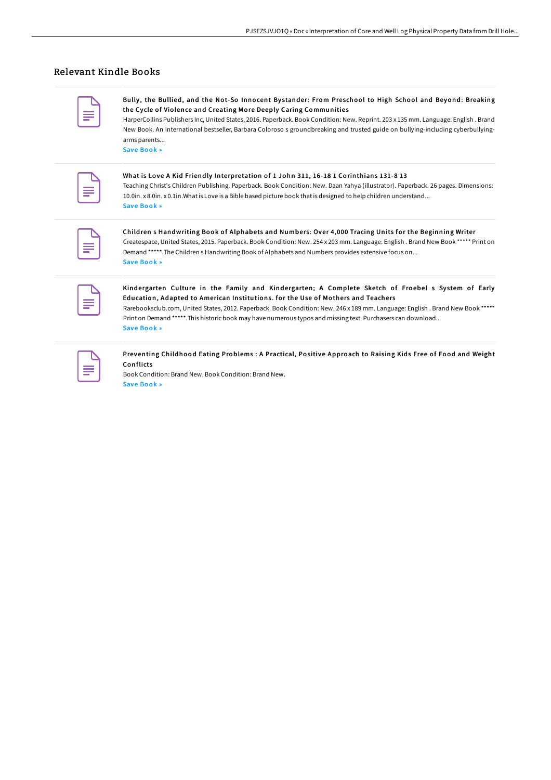## Relevant Kindle Books

Bully , the Bullied, and the Not-So Innocent By stander: From Preschool to High School and Beyond: Breaking the Cycle of Violence and Creating More Deeply Caring Communities

HarperCollins Publishers Inc, United States, 2016. Paperback. Book Condition: New. Reprint. 203 x 135 mm. Language: English . Brand New Book. An international bestseller, Barbara Coloroso s groundbreaking and trusted guide on bullying-including cyberbullyingarms parents... Save [Book](http://techno-pub.tech/bully-the-bullied-and-the-not-so-innocent-bystan.html) »

| the control of the control of the<br>_ |  |
|----------------------------------------|--|
|                                        |  |

What is Love A Kid Friendly Interpretation of 1 John 311, 16-18 1 Corinthians 131-8 13 Teaching Christ's Children Publishing. Paperback. Book Condition: New. Daan Yahya (illustrator). Paperback. 26 pages. Dimensions: 10.0in. x 8.0in. x 0.1in.Whatis Love is a Bible based picture book thatis designed to help children understand... Save [Book](http://techno-pub.tech/what-is-love-a-kid-friendly-interpretation-of-1-.html) »

Children s Handwriting Book of Alphabets and Numbers: Over 4,000 Tracing Units for the Beginning Writer Createspace, United States, 2015. Paperback. Book Condition: New. 254 x 203 mm. Language: English . Brand New Book \*\*\*\*\* Print on Demand \*\*\*\*\*.The Children s Handwriting Book of Alphabets and Numbers provides extensive focus on... Save [Book](http://techno-pub.tech/children-s-handwriting-book-of-alphabets-and-num.html) »

Kindergarten Culture in the Family and Kindergarten; A Complete Sketch of Froebel s System of Early Education, Adapted to American Institutions. for the Use of Mothers and Teachers

Rarebooksclub.com, United States, 2012. Paperback. Book Condition: New. 246 x 189 mm. Language: English . Brand New Book \*\*\*\*\* Print on Demand \*\*\*\*\*.This historicbook may have numerous typos and missing text. Purchasers can download... Save [Book](http://techno-pub.tech/kindergarten-culture-in-the-family-and-kindergar.html) »

|  | __ |  |
|--|----|--|

Preventing Childhood Eating Problems : A Practical, Positive Approach to Raising Kids Free of Food and Weight Conflicts

Book Condition: Brand New. Book Condition: Brand New. Save [Book](http://techno-pub.tech/preventing-childhood-eating-problems-a-practical.html) »